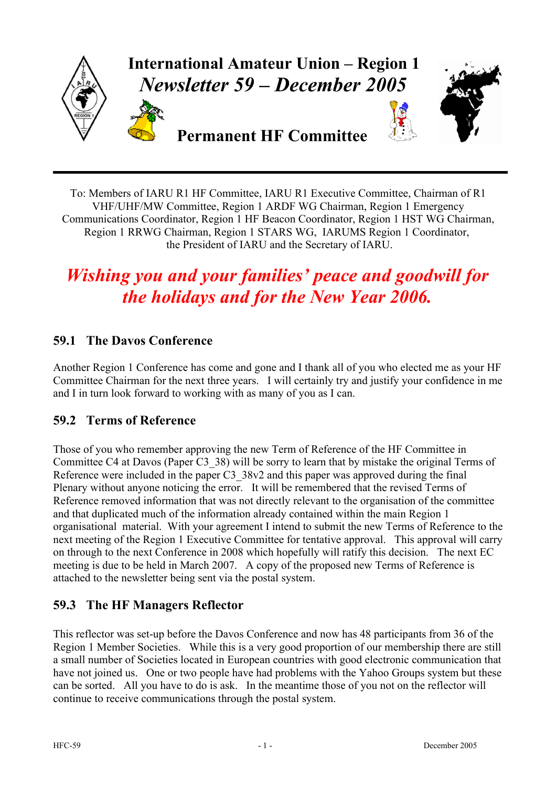

To: Members of IARU R1 HF Committee, IARU R1 Executive Committee, Chairman of R1 VHF/UHF/MW Committee, Region 1 ARDF WG Chairman, Region 1 Emergency Communications Coordinator, Region 1 HF Beacon Coordinator, Region 1 HST WG Chairman, Region 1 RRWG Chairman, Region 1 STARS WG, IARUMS Region 1 Coordinator, the President of IARU and the Secretary of IARU.

# *Wishing you and your families' peace and goodwill for the holidays and for the New Year 2006.*

# **59.1 The Davos Conference**

Another Region 1 Conference has come and gone and I thank all of you who elected me as your HF Committee Chairman for the next three years. I will certainly try and justify your confidence in me and I in turn look forward to working with as many of you as I can.

## **59.2 Terms of Reference**

Those of you who remember approving the new Term of Reference of the HF Committee in Committee C4 at Davos (Paper C3\_38) will be sorry to learn that by mistake the original Terms of Reference were included in the paper C3\_38v2 and this paper was approved during the final Plenary without anyone noticing the error. It will be remembered that the revised Terms of Reference removed information that was not directly relevant to the organisation of the committee and that duplicated much of the information already contained within the main Region 1 organisational material. With your agreement I intend to submit the new Terms of Reference to the next meeting of the Region 1 Executive Committee for tentative approval. This approval will carry on through to the next Conference in 2008 which hopefully will ratify this decision. The next EC meeting is due to be held in March 2007. A copy of the proposed new Terms of Reference is attached to the newsletter being sent via the postal system.

# **59.3 The HF Managers Reflector**

This reflector was set-up before the Davos Conference and now has 48 participants from 36 of the Region 1 Member Societies. While this is a very good proportion of our membership there are still a small number of Societies located in European countries with good electronic communication that have not joined us. One or two people have had problems with the Yahoo Groups system but these can be sorted. All you have to do is ask. In the meantime those of you not on the reflector will continue to receive communications through the postal system.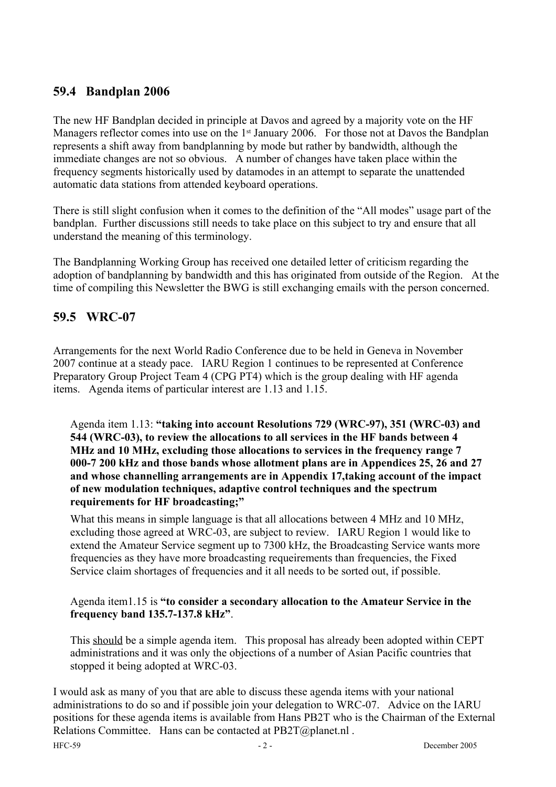## **59.4 Bandplan 2006**

The new HF Bandplan decided in principle at Davos and agreed by a majority vote on the HF Managers reflector comes into use on the 1<sup>st</sup> January 2006. For those not at Davos the Bandplan represents a shift away from bandplanning by mode but rather by bandwidth, although the immediate changes are not so obvious. A number of changes have taken place within the frequency segments historically used by datamodes in an attempt to separate the unattended automatic data stations from attended keyboard operations.

There is still slight confusion when it comes to the definition of the "All modes" usage part of the bandplan. Further discussions still needs to take place on this subject to try and ensure that all understand the meaning of this terminology.

The Bandplanning Working Group has received one detailed letter of criticism regarding the adoption of bandplanning by bandwidth and this has originated from outside of the Region. At the time of compiling this Newsletter the BWG is still exchanging emails with the person concerned.

## **59.5 WRC-07**

Arrangements for the next World Radio Conference due to be held in Geneva in November 2007 continue at a steady pace. IARU Region 1 continues to be represented at Conference Preparatory Group Project Team 4 (CPG PT4) which is the group dealing with HF agenda items. Agenda items of particular interest are 1.13 and 1.15.

Agenda item 1.13: **"taking into account Resolutions 729 (WRC-97), 351 (WRC-03) and 544 (WRC-03), to review the allocations to all services in the HF bands between 4 MHz and 10 MHz, excluding those allocations to services in the frequency range 7 000-7 200 kHz and those bands whose allotment plans are in Appendices 25, 26 and 27 and whose channelling arrangements are in Appendix 17,taking account of the impact of new modulation techniques, adaptive control techniques and the spectrum requirements for HF broadcasting;"**

What this means in simple language is that all allocations between 4 MHz and 10 MHz, excluding those agreed at WRC-03, are subject to review. IARU Region 1 would like to extend the Amateur Service segment up to 7300 kHz, the Broadcasting Service wants more frequencies as they have more broadcasting requeirements than frequencies, the Fixed Service claim shortages of frequencies and it all needs to be sorted out, if possible.

#### Agenda item1.15 is **"to consider a secondary allocation to the Amateur Service in the frequency band 135.7-137.8 kHz"**.

This should be a simple agenda item. This proposal has already been adopted within CEPT administrations and it was only the objections of a number of Asian Pacific countries that stopped it being adopted at WRC-03.

I would ask as many of you that are able to discuss these agenda items with your national administrations to do so and if possible join your delegation to WRC-07. Advice on the IARU positions for these agenda items is available from Hans PB2T who is the Chairman of the External Relations Committee. Hans can be contacted at PB2T@planet.nl. HFC-59 **December 2005** - 2 - **December 2005**